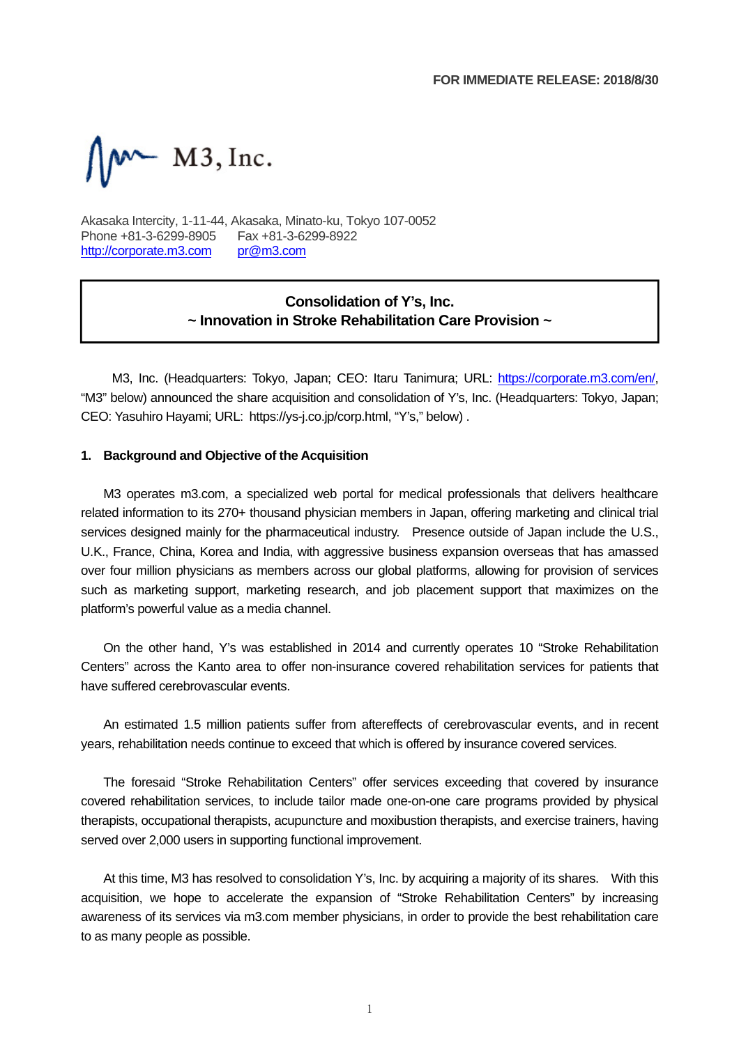$M^{\sim}$  M3, Inc.

Akasaka Intercity, 1-11-44, Akasaka, Minato-ku, Tokyo 107-0052 Phone +81-3-6299-8905 Fax +81-3-6299-8922 http://corporate.m3.com pr@m3.com

## **Consolidation of Y's, Inc. ~ Innovation in Stroke Rehabilitation Care Provision ~**

M3, Inc. (Headquarters: Tokyo, Japan; CEO: Itaru Tanimura; URL: https://corporate.m3.com/en/, "M3" below) announced the share acquisition and consolidation of Y's, Inc. (Headquarters: Tokyo, Japan; CEO: Yasuhiro Hayami; URL: https://ys-j.co.jp/corp.html, "Y's," below) .

## **1. Background and Objective of the Acquisition**

M3 operates m3.com, a specialized web portal for medical professionals that delivers healthcare related information to its 270+ thousand physician members in Japan, offering marketing and clinical trial services designed mainly for the pharmaceutical industry. Presence outside of Japan include the U.S., U.K., France, China, Korea and India, with aggressive business expansion overseas that has amassed over four million physicians as members across our global platforms, allowing for provision of services such as marketing support, marketing research, and job placement support that maximizes on the platform's powerful value as a media channel.

On the other hand, Y's was established in 2014 and currently operates 10 "Stroke Rehabilitation Centers" across the Kanto area to offer non-insurance covered rehabilitation services for patients that have suffered cerebrovascular events.

An estimated 1.5 million patients suffer from aftereffects of cerebrovascular events, and in recent years, rehabilitation needs continue to exceed that which is offered by insurance covered services.

The foresaid "Stroke Rehabilitation Centers" offer services exceeding that covered by insurance covered rehabilitation services, to include tailor made one-on-one care programs provided by physical therapists, occupational therapists, acupuncture and moxibustion therapists, and exercise trainers, having served over 2,000 users in supporting functional improvement.

At this time, M3 has resolved to consolidation Y's, Inc. by acquiring a majority of its shares. With this acquisition, we hope to accelerate the expansion of "Stroke Rehabilitation Centers" by increasing awareness of its services via m3.com member physicians, in order to provide the best rehabilitation care to as many people as possible.

1